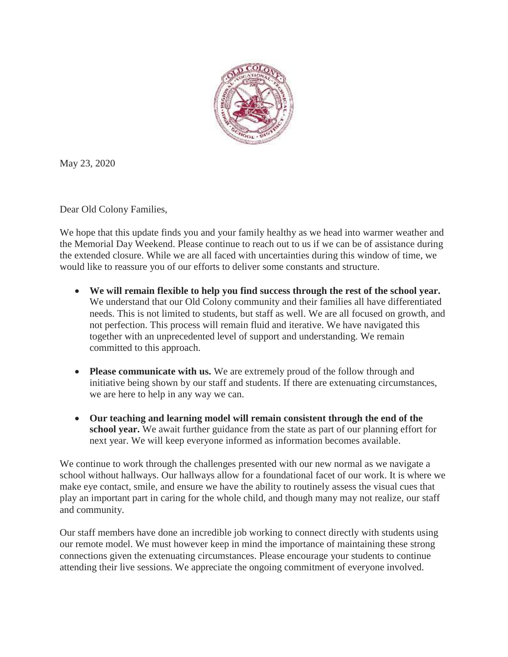

May 23, 2020

Dear Old Colony Families,

We hope that this update finds you and your family healthy as we head into warmer weather and the Memorial Day Weekend. Please continue to reach out to us if we can be of assistance during the extended closure. While we are all faced with uncertainties during this window of time, we would like to reassure you of our efforts to deliver some constants and structure.

- **We will remain flexible to help you find success through the rest of the school year.** We understand that our Old Colony community and their families all have differentiated needs. This is not limited to students, but staff as well. We are all focused on growth, and not perfection. This process will remain fluid and iterative. We have navigated this together with an unprecedented level of support and understanding. We remain committed to this approach.
- **Please communicate with us.** We are extremely proud of the follow through and initiative being shown by our staff and students. If there are extenuating circumstances, we are here to help in any way we can.
- **Our teaching and learning model will remain consistent through the end of the school year.** We await further guidance from the state as part of our planning effort for next year. We will keep everyone informed as information becomes available.

We continue to work through the challenges presented with our new normal as we navigate a school without hallways. Our hallways allow for a foundational facet of our work. It is where we make eye contact, smile, and ensure we have the ability to routinely assess the visual cues that play an important part in caring for the whole child, and though many may not realize, our staff and community.

Our staff members have done an incredible job working to connect directly with students using our remote model. We must however keep in mind the importance of maintaining these strong connections given the extenuating circumstances. Please encourage your students to continue attending their live sessions. We appreciate the ongoing commitment of everyone involved.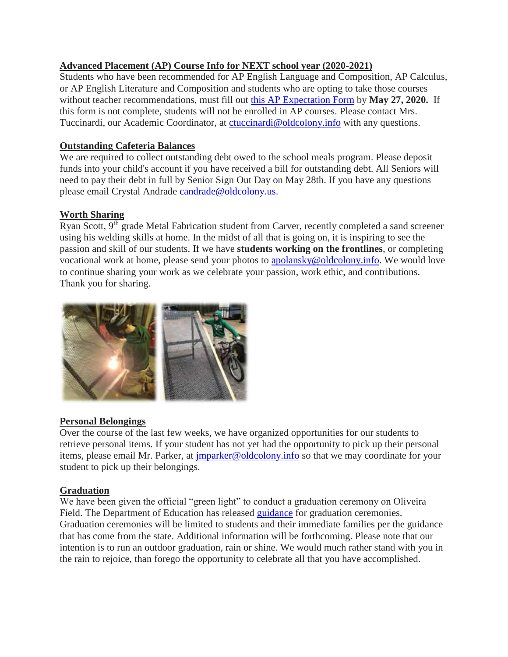# **Advanced Placement (AP) Course Info for NEXT school year (2020-2021)**

Students who have been recommended for AP English Language and Composition, AP Calculus, or AP English Literature and Composition and students who are opting to take those courses without teacher recommendations, must fill out [this AP Expectation Form](https://docs.google.com/forms/d/e/1FAIpQLSfeZtclNO6ELRFWF-1YnfrHx90BZxwridIHD55FXEENAWwe-A/viewform) by **May 27, 2020.** If this form is not complete, students will not be enrolled in AP courses. Please contact Mrs. Tuccinardi, our Academic Coordinator, at [ctuccinardi@oldcolony.info](mailto:ctuccinardi@oldcolony.info) with any questions.

# **Outstanding Cafeteria Balances**

We are required to collect outstanding debt owed to the school meals program. Please deposit funds into your child's account if you have received a bill for outstanding debt. All Seniors will need to pay their debt in full by Senior Sign Out Day on May 28th. If you have any questions please email Crystal Andrade [candrade@oldcolony.us.](mailto:candrade@oldcolony.us)

# **Worth Sharing**

Ryan Scott, 9<sup>th</sup> grade Metal Fabrication student from Carver, recently completed a sand screener using his welding skills at home. In the midst of all that is going on, it is inspiring to see the passion and skill of our students. If we have **students working on the frontlines**, or completing vocational work at home, please send your photos to [apolansky@oldcolony.info.](mailto:apolansky@oldcolony.info) We would love to continue sharing your work as we celebrate your passion, work ethic, and contributions. Thank you for sharing.



### **Personal Belongings**

Over the course of the last few weeks, we have organized opportunities for our students to retrieve personal items. If your student has not yet had the opportunity to pick up their personal items, please email Mr. Parker, at [jmparker@oldcolony.info](mailto:jmparker@oldcolony.info) so that we may coordinate for your student to pick up their belongings.

### **Graduation**

We have been given the official "green light" to conduct a graduation ceremony on Oliveira Field. The Department of Education has released [guidance](https://drive.google.com/file/d/1Y3fU1L3op6eTbzkfaQ4091bp4Z0goF-R/view?usp=sharing) for graduation ceremonies. Graduation ceremonies will be limited to students and their immediate families per the guidance that has come from the state. Additional information will be forthcoming. Please note that our intention is to run an outdoor graduation, rain or shine. We would much rather stand with you in the rain to rejoice, than forego the opportunity to celebrate all that you have accomplished.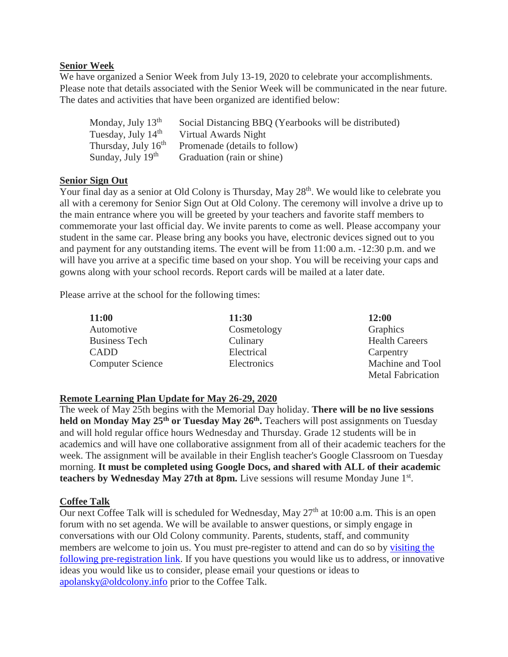### **Senior Week**

We have organized a Senior Week from July 13-19, 2020 to celebrate your accomplishments. Please note that details associated with the Senior Week will be communicated in the near future. The dates and activities that have been organized are identified below:

| Monday, July 13 <sup>th</sup>   | Social Distancing BBQ (Yearbooks will be distributed) |
|---------------------------------|-------------------------------------------------------|
| Tuesday, July 14 <sup>th</sup>  | Virtual Awards Night                                  |
| Thursday, July 16 <sup>th</sup> | Promenade (details to follow)                         |
| Sunday, July 19 <sup>th</sup>   | Graduation (rain or shine)                            |

### **Senior Sign Out**

Your final day as a senior at Old Colony is Thursday, May 28<sup>th</sup>. We would like to celebrate you all with a ceremony for Senior Sign Out at Old Colony. The ceremony will involve a drive up to the main entrance where you will be greeted by your teachers and favorite staff members to commemorate your last official day. We invite parents to come as well. Please accompany your student in the same car. Please bring any books you have, electronic devices signed out to you and payment for any outstanding items. The event will be from 11:00 a.m. -12:30 p.m. and we will have you arrive at a specific time based on your shop. You will be receiving your caps and gowns along with your school records. Report cards will be mailed at a later date.

Please arrive at the school for the following times:

| <b>11:00</b>            | 11:30       | 12:00                    |
|-------------------------|-------------|--------------------------|
| Automotive              | Cosmetology | Graphics                 |
| <b>Business Tech</b>    | Culinary    | <b>Health Careers</b>    |
| CADD                    | Electrical  | Carpentry                |
| <b>Computer Science</b> | Electronics | Machine and Tool         |
|                         |             | <b>Metal Fabrication</b> |

### **Remote Learning Plan Update for May 26-29, 2020**

The week of May 25th begins with the Memorial Day holiday. **There will be no live sessions held on Monday May 25th or Tuesday May 26th .** Teachers will post assignments on Tuesday and will hold regular office hours Wednesday and Thursday. Grade 12 students will be in academics and will have one collaborative assignment from all of their academic teachers for the week. The assignment will be available in their English teacher's Google Classroom on Tuesday morning. **It must be completed using Google Docs, and shared with ALL of their academic**  teachers by Wednesday May 27th at 8pm. Live sessions will resume Monday June 1<sup>st</sup>.

### **Coffee Talk**

Our next Coffee Talk will is scheduled for Wednesday, May  $27<sup>th</sup>$  at 10:00 a.m. This is an open forum with no set agenda. We will be available to answer questions, or simply engage in conversations with our Old Colony community. Parents, students, staff, and community members are welcome to join us. You must pre-register to attend and can do so by visiting the [following pre-registration link.](https://us02web.zoom.us/meeting/register/tZwkdeqqrjopG9GyIZlorcKnXlfsHoqQQ3cu) If you have questions you would like us to address, or innovative ideas you would like us to consider, please email your questions or ideas to [apolansky@oldcolony.info](mailto:apolansky@oldcolony.info) prior to the Coffee Talk.